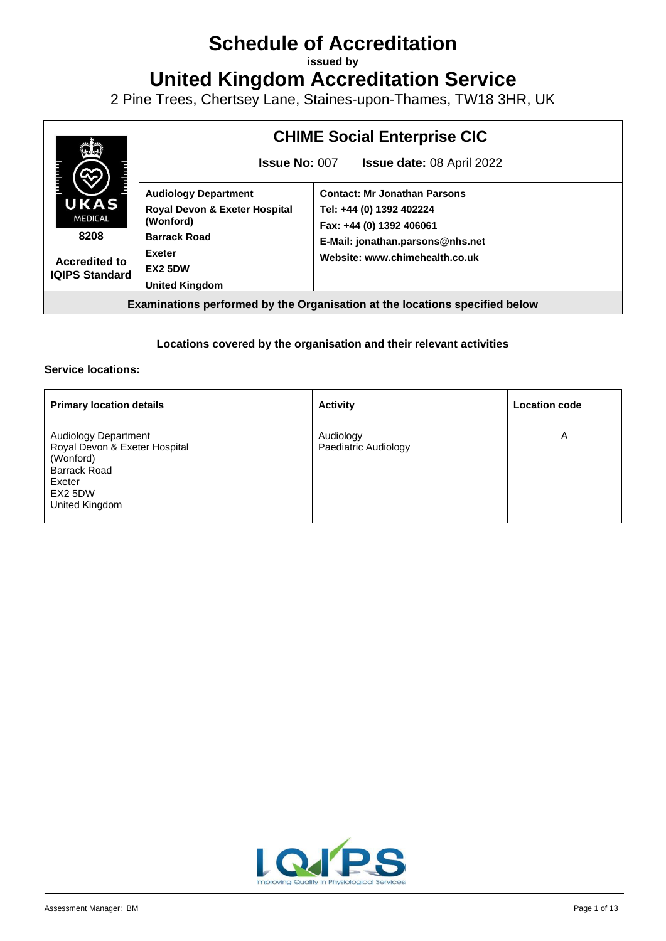# **Schedule of Accreditation**

**issued by**

**United Kingdom Accreditation Service**

2 Pine Trees, Chertsey Lane, Staines-upon-Thames, TW18 3HR, UK



#### **Locations covered by the organisation and their relevant activities**

#### **Service locations:**

| <b>Primary location details</b>                                                                                                         | <b>Activity</b>                   | <b>Location code</b> |
|-----------------------------------------------------------------------------------------------------------------------------------------|-----------------------------------|----------------------|
| <b>Audiology Department</b><br>Royal Devon & Exeter Hospital<br>(Wonford)<br><b>Barrack Road</b><br>Exeter<br>EX2 5DW<br>United Kingdom | Audiology<br>Paediatric Audiology | A                    |

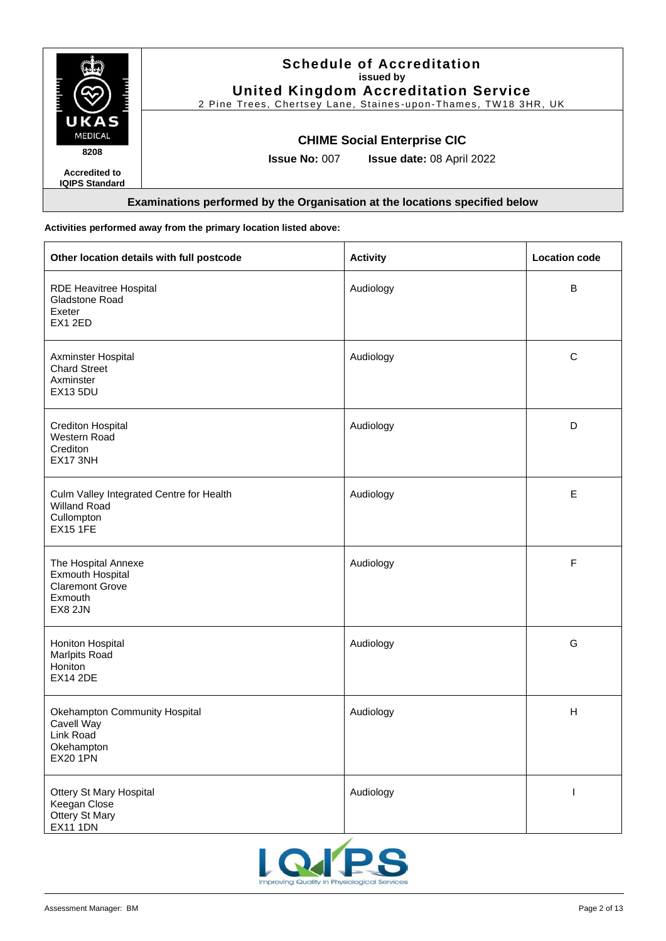|                                               | <b>Schedule of Accreditation</b><br>issued by<br><b>United Kingdom Accreditation Service</b><br>2 Pine Trees, Chertsey Lane, Staines-upon-Thames, TW18 3HR, UK |
|-----------------------------------------------|----------------------------------------------------------------------------------------------------------------------------------------------------------------|
| UKAS<br><b>MEDICAL</b><br>8208                | <b>CHIME Social Enterprise CIC</b>                                                                                                                             |
| <b>Accredited to</b><br><b>IQIPS Standard</b> | <b>Issue No: 007</b><br><b>Issue date: 08 April 2022</b>                                                                                                       |
|                                               | Examinations performed by the Organisation at the locations specified below                                                                                    |

#### **Activities performed away from the primary location listed above:**

| Other location details with full postcode                                                      | <b>Activity</b> | <b>Location code</b> |
|------------------------------------------------------------------------------------------------|-----------------|----------------------|
| RDE Heavitree Hospital<br>Gladstone Road<br>Exeter<br>EX1 2ED                                  | Audiology       | B                    |
| Axminster Hospital<br><b>Chard Street</b><br>Axminster<br><b>EX13 5DU</b>                      | Audiology       | $\mathbf C$          |
| <b>Crediton Hospital</b><br>Western Road<br>Crediton<br>EX17 3NH                               | Audiology       | D                    |
| Culm Valley Integrated Centre for Health<br>Willand Road<br>Cullompton<br><b>EX15 1FE</b>      | Audiology       | $\mathsf E$          |
| The Hospital Annexe<br><b>Exmouth Hospital</b><br><b>Claremont Grove</b><br>Exmouth<br>EX8 2JN | Audiology       | $\mathsf F$          |
| Honiton Hospital<br>Marlpits Road<br>Honiton<br><b>EX14 2DE</b>                                | Audiology       | G                    |
| Okehampton Community Hospital<br>Cavell Way<br>Link Road<br>Okehampton<br><b>EX20 1PN</b>      | Audiology       | H                    |
| Ottery St Mary Hospital<br>Keegan Close<br>Ottery St Mary<br><b>EX11 1DN</b>                   | Audiology       | T                    |

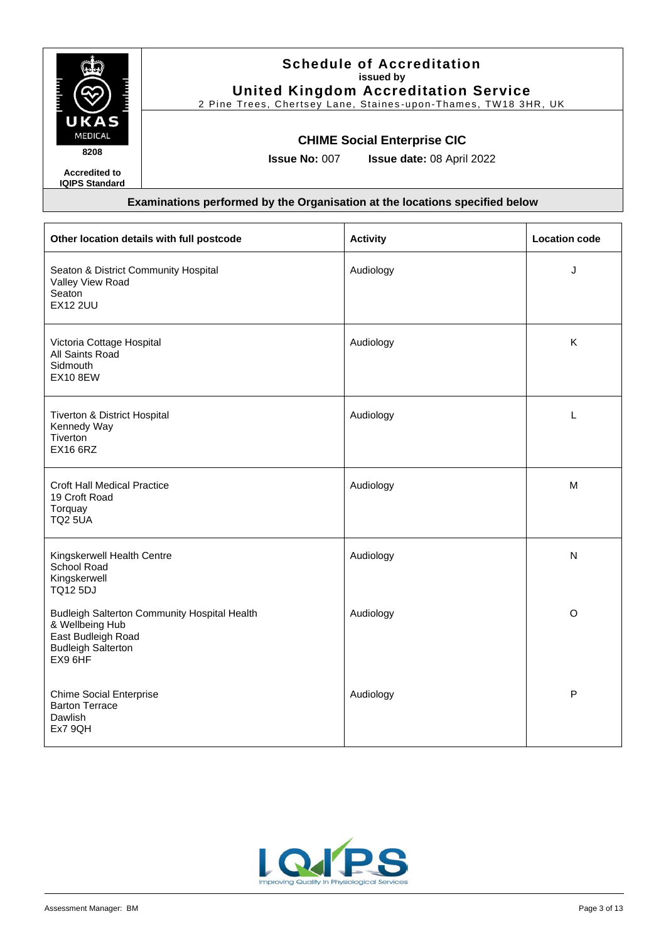

## **Schedule of Accreditation issued by United Kingdom Accreditation Service**

2 Pine Trees, Chertsey Lane, Staines -upon-Thames, TW18 3HR, UK

### **CHIME Social Enterprise CIC**

**Issue No:** 007 **Issue date:** 08 April 2022

| Other location details with full postcode                                                                                            | <b>Activity</b> | <b>Location code</b> |
|--------------------------------------------------------------------------------------------------------------------------------------|-----------------|----------------------|
| Seaton & District Community Hospital<br>Valley View Road<br>Seaton<br><b>EX12 2UU</b>                                                | Audiology       | J                    |
| Victoria Cottage Hospital<br>All Saints Road<br>Sidmouth<br><b>EX10 8EW</b>                                                          | Audiology       | K                    |
| Tiverton & District Hospital<br>Kennedy Way<br>Tiverton<br><b>EX16 6RZ</b>                                                           | Audiology       | L                    |
| <b>Croft Hall Medical Practice</b><br>19 Croft Road<br>Torquay<br><b>TQ2 5UA</b>                                                     | Audiology       | M                    |
| Kingskerwell Health Centre<br>School Road<br>Kingskerwell<br><b>TQ12 5DJ</b>                                                         | Audiology       | N                    |
| <b>Budleigh Salterton Community Hospital Health</b><br>& Wellbeing Hub<br>East Budleigh Road<br><b>Budleigh Salterton</b><br>EX9 6HF | Audiology       | O                    |
| <b>Chime Social Enterprise</b><br><b>Barton Terrace</b><br>Dawlish<br>Ex7 9QH                                                        | Audiology       | $\mathsf{P}$         |

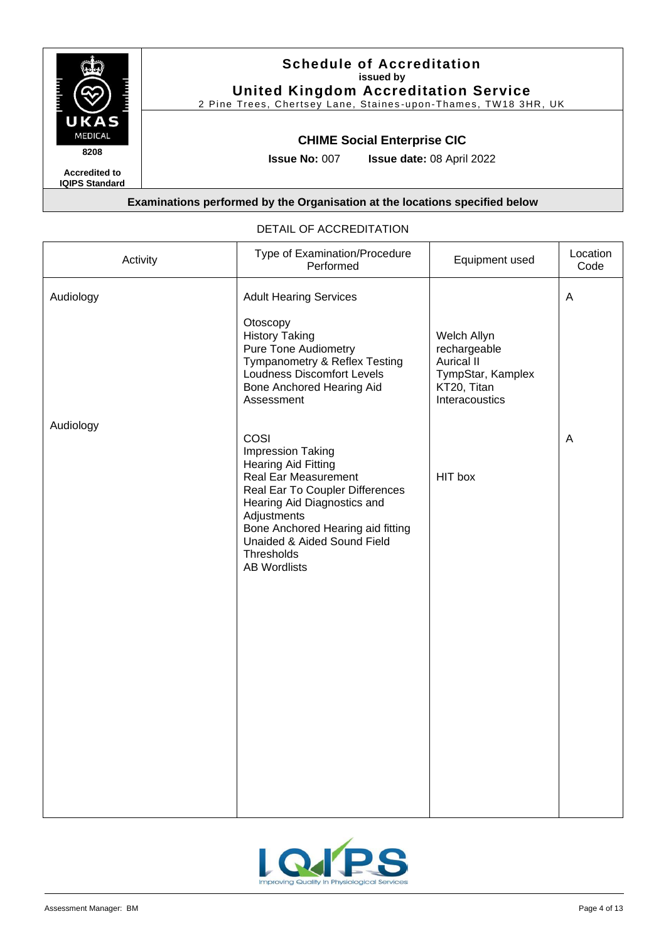

2 Pine Trees, Chertsey Lane, Staines -upon-Thames, TW18 3HR, UK

### **CHIME Social Enterprise CIC**

**Issue No:** 007 **Issue date:** 08 April 2022

#### **Examinations performed by the Organisation at the locations specified below**

| Activity  | Type of Examination/Procedure<br>Performed                                                                                                                                                                                                                                | Equipment used                                                                                         | Location<br>Code |
|-----------|---------------------------------------------------------------------------------------------------------------------------------------------------------------------------------------------------------------------------------------------------------------------------|--------------------------------------------------------------------------------------------------------|------------------|
| Audiology | <b>Adult Hearing Services</b>                                                                                                                                                                                                                                             |                                                                                                        | $\mathsf A$      |
|           | Otoscopy<br><b>History Taking</b><br><b>Pure Tone Audiometry</b><br>Tympanometry & Reflex Testing<br>Loudness Discomfort Levels<br>Bone Anchored Hearing Aid<br>Assessment                                                                                                | Welch Allyn<br>rechargeable<br><b>Aurical II</b><br>TympStar, Kamplex<br>KT20, Titan<br>Interacoustics |                  |
| Audiology | COSI<br>Impression Taking<br><b>Hearing Aid Fitting</b><br>Real Ear Measurement<br>Real Ear To Coupler Differences<br>Hearing Aid Diagnostics and<br>Adjustments<br>Bone Anchored Hearing aid fitting<br>Unaided & Aided Sound Field<br>Thresholds<br><b>AB Wordlists</b> | HIT box                                                                                                | A                |

#### DETAIL OF ACCREDITATION

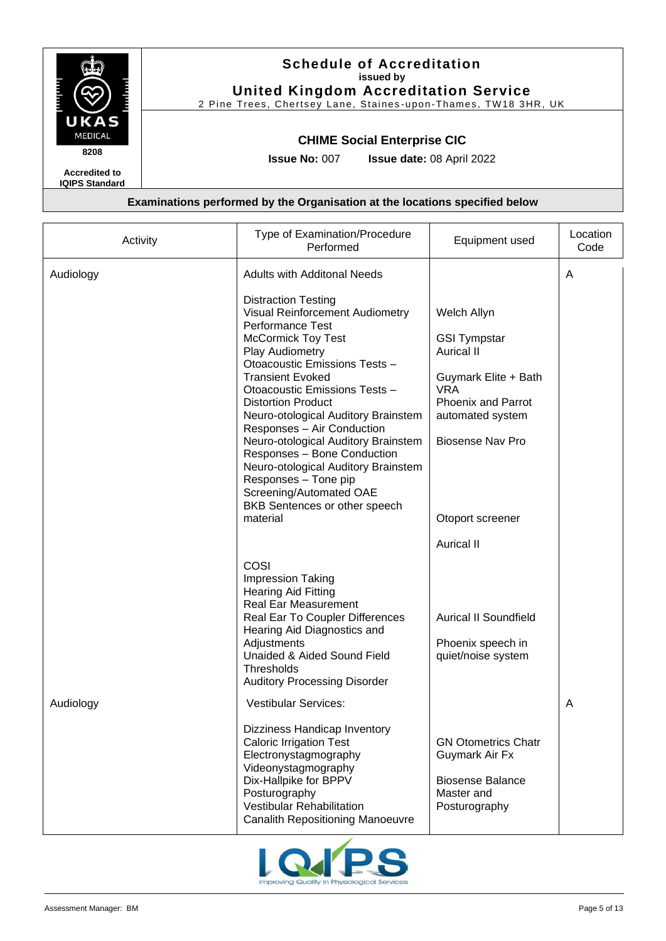

# **Schedule of Accreditation issued by United Kingdom Accreditation Service**

2 Pine Trees, Chertsey Lane, Staines -upon-Thames, TW18 3HR, UK

### **CHIME Social Enterprise CIC**

**Issue No:** 007 **Issue date:** 08 April 2022

| Activity  | Type of Examination/Procedure<br>Performed                                                                                                                                                                                                                                                                                                      | Equipment used                                                                                                                                 | Location<br>Code |
|-----------|-------------------------------------------------------------------------------------------------------------------------------------------------------------------------------------------------------------------------------------------------------------------------------------------------------------------------------------------------|------------------------------------------------------------------------------------------------------------------------------------------------|------------------|
| Audiology | <b>Adults with Additonal Needs</b><br><b>Distraction Testing</b><br>Visual Reinforcement Audiometry<br><b>Performance Test</b><br><b>McCormick Toy Test</b><br>Play Audiometry<br>Otoacoustic Emissions Tests -<br><b>Transient Evoked</b><br>Otoacoustic Emissions Tests -<br><b>Distortion Product</b><br>Neuro-otological Auditory Brainstem | Welch Allyn<br><b>GSI Tympstar</b><br><b>Aurical II</b><br>Guymark Elite + Bath<br><b>VRA</b><br><b>Phoenix and Parrot</b><br>automated system | Α                |
|           | Responses - Air Conduction<br>Neuro-otological Auditory Brainstem<br>Responses - Bone Conduction<br>Neuro-otological Auditory Brainstem<br>Responses - Tone pip<br>Screening/Automated OAE<br>BKB Sentences or other speech<br>material                                                                                                         | <b>Biosense Nav Pro</b><br>Otoport screener<br>Aurical II                                                                                      |                  |
|           | COSI<br><b>Impression Taking</b><br><b>Hearing Aid Fitting</b><br><b>Real Ear Measurement</b><br>Real Ear To Coupler Differences<br>Hearing Aid Diagnostics and<br>Adjustments<br>Unaided & Aided Sound Field<br><b>Thresholds</b><br><b>Auditory Processing Disorder</b>                                                                       | <b>Aurical II Soundfield</b><br>Phoenix speech in<br>quiet/noise system                                                                        |                  |
| Audiology | <b>Vestibular Services:</b><br>Dizziness Handicap Inventory<br><b>Caloric Irrigation Test</b><br>Electronystagmography<br>Videonystagmography<br>Dix-Hallpike for BPPV<br>Posturography<br>Vestibular Rehabilitation<br><b>Canalith Repositioning Manoeuvre</b>                                                                                 | <b>GN Otometrics Chatr</b><br>Guymark Air Fx<br><b>Biosense Balance</b><br>Master and<br>Posturography                                         | A                |

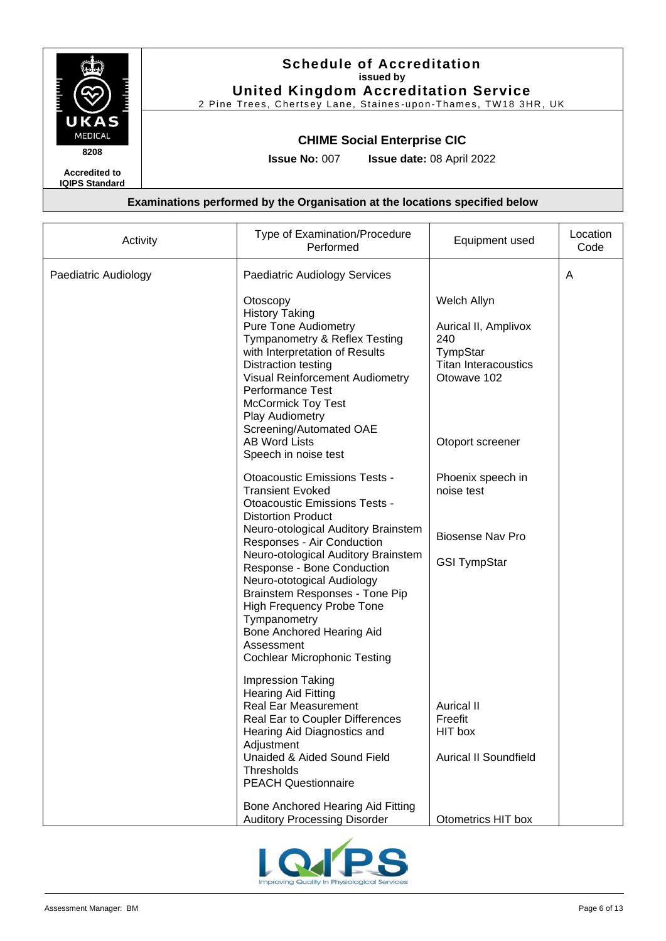

# **Schedule of Accreditation issued by United Kingdom Accreditation Service**

2 Pine Trees, Chertsey Lane, Staines -upon-Thames, TW18 3HR, UK

### **CHIME Social Enterprise CIC**

**Issue No:** 007 **Issue date:** 08 April 2022

| Activity             | Type of Examination/Procedure<br>Performed                                                                                                                                                                                                                                                                                                                                                                                                                                           | Equipment used                                                                                       | Location<br>Code |
|----------------------|--------------------------------------------------------------------------------------------------------------------------------------------------------------------------------------------------------------------------------------------------------------------------------------------------------------------------------------------------------------------------------------------------------------------------------------------------------------------------------------|------------------------------------------------------------------------------------------------------|------------------|
| Paediatric Audiology | Paediatric Audiology Services                                                                                                                                                                                                                                                                                                                                                                                                                                                        |                                                                                                      | A                |
|                      | Otoscopy<br><b>History Taking</b><br><b>Pure Tone Audiometry</b><br>Tympanometry & Reflex Testing<br>with Interpretation of Results<br>Distraction testing<br><b>Visual Reinforcement Audiometry</b><br><b>Performance Test</b><br><b>McCormick Toy Test</b><br>Play Audiometry<br>Screening/Automated OAE                                                                                                                                                                           | Welch Allyn<br>Aurical II, Amplivox<br>240<br>TympStar<br><b>Titan Interacoustics</b><br>Otowave 102 |                  |
|                      | <b>AB Word Lists</b><br>Speech in noise test                                                                                                                                                                                                                                                                                                                                                                                                                                         | Otoport screener                                                                                     |                  |
|                      | <b>Otoacoustic Emissions Tests -</b><br><b>Transient Evoked</b><br><b>Otoacoustic Emissions Tests -</b><br><b>Distortion Product</b><br>Neuro-otological Auditory Brainstem<br>Responses - Air Conduction<br>Neuro-otological Auditory Brainstem<br>Response - Bone Conduction<br>Neuro-ototogical Audiology<br>Brainstem Responses - Tone Pip<br><b>High Frequency Probe Tone</b><br>Tympanometry<br>Bone Anchored Hearing Aid<br>Assessment<br><b>Cochlear Microphonic Testing</b> | Phoenix speech in<br>noise test<br><b>Biosense Nav Pro</b><br><b>GSI TympStar</b>                    |                  |
|                      | <b>Impression Taking</b><br><b>Hearing Aid Fitting</b><br><b>Real Ear Measurement</b><br>Real Ear to Coupler Differences<br>Hearing Aid Diagnostics and<br>Adjustment<br>Unaided & Aided Sound Field<br>Thresholds<br><b>PEACH Questionnaire</b><br>Bone Anchored Hearing Aid Fitting                                                                                                                                                                                                | Aurical II<br>Freefit<br>HIT box<br><b>Aurical II Soundfield</b>                                     |                  |
|                      | <b>Auditory Processing Disorder</b>                                                                                                                                                                                                                                                                                                                                                                                                                                                  | Otometrics HIT box                                                                                   |                  |

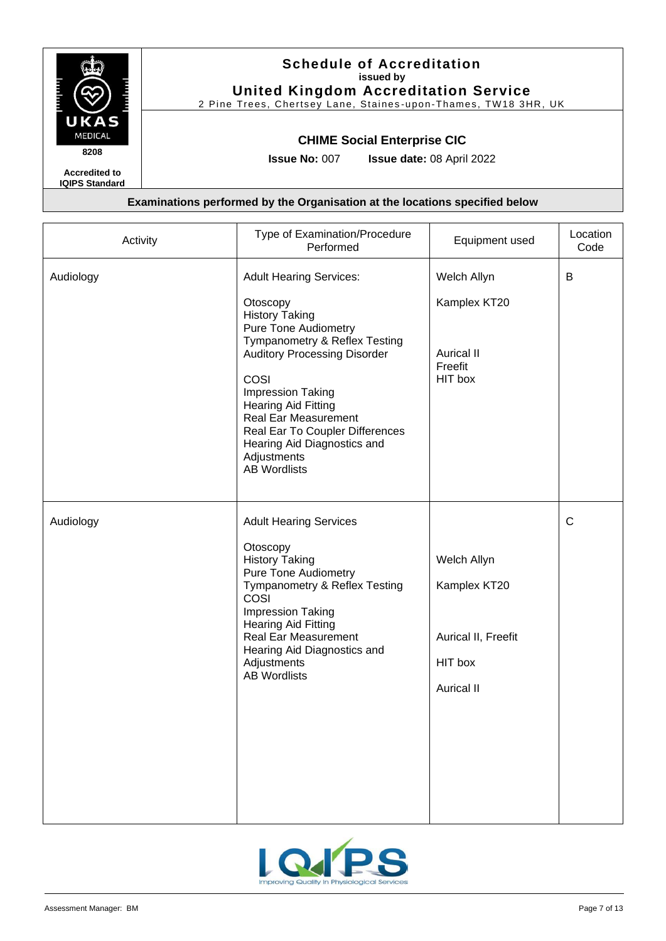

2 Pine Trees, Chertsey Lane, Staines -upon-Thames, TW18 3HR, UK

### **CHIME Social Enterprise CIC**

**Issue No:** 007 **Issue date:** 08 April 2022

**Accredited to IQIPS Standard**

| Activity  | Type of Examination/Procedure<br>Performed                                                                                                                                                                                                                                                                                                                                          | Equipment used                                                                     | Location<br>Code |
|-----------|-------------------------------------------------------------------------------------------------------------------------------------------------------------------------------------------------------------------------------------------------------------------------------------------------------------------------------------------------------------------------------------|------------------------------------------------------------------------------------|------------------|
| Audiology | <b>Adult Hearing Services:</b><br>Otoscopy<br><b>History Taking</b><br><b>Pure Tone Audiometry</b><br>Tympanometry & Reflex Testing<br><b>Auditory Processing Disorder</b><br>COSI<br><b>Impression Taking</b><br><b>Hearing Aid Fitting</b><br><b>Real Ear Measurement</b><br>Real Ear To Coupler Differences<br>Hearing Aid Diagnostics and<br>Adjustments<br><b>AB Wordlists</b> | Welch Allyn<br>Kamplex KT20<br><b>Aurical II</b><br>Freefit<br>HIT box             | B                |
| Audiology | <b>Adult Hearing Services</b><br>Otoscopy<br><b>History Taking</b><br><b>Pure Tone Audiometry</b><br>Tympanometry & Reflex Testing<br>COSI<br>Impression Taking<br><b>Hearing Aid Fitting</b><br><b>Real Ear Measurement</b><br>Hearing Aid Diagnostics and<br>Adjustments<br><b>AB Wordlists</b>                                                                                   | Welch Allyn<br>Kamplex KT20<br>Aurical II, Freefit<br>HIT box<br><b>Aurical II</b> | $\mathsf{C}$     |

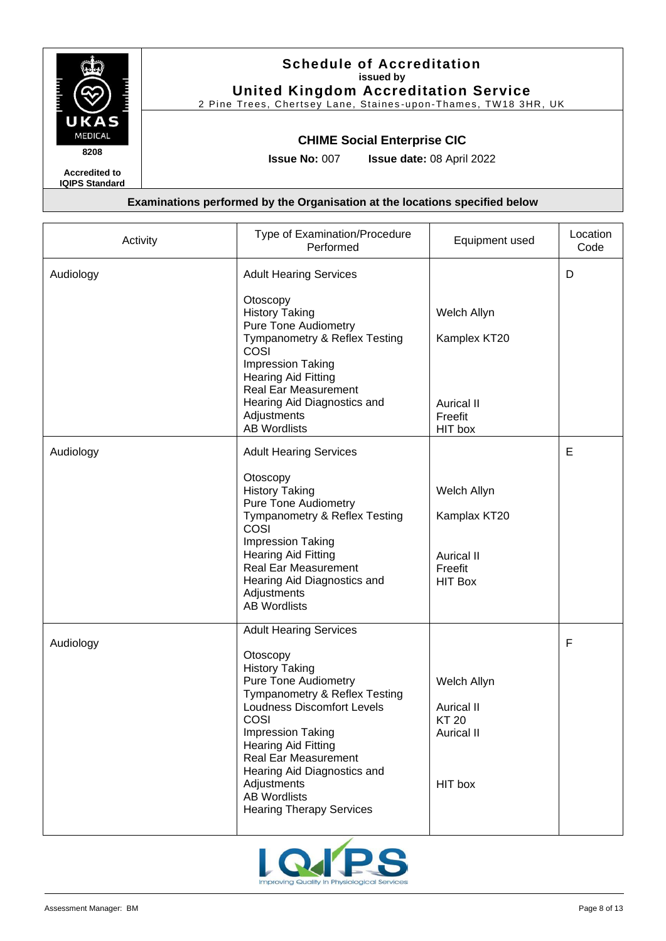

2 Pine Trees, Chertsey Lane, Staines -upon-Thames, TW18 3HR, UK

### **CHIME Social Enterprise CIC**

**Issue No:** 007 **Issue date:** 08 April 2022

| Activity  | Type of Examination/Procedure<br>Performed                                                                                                                                                                                                                                                                                                                                              | Equipment used                                                                   | Location<br>Code |
|-----------|-----------------------------------------------------------------------------------------------------------------------------------------------------------------------------------------------------------------------------------------------------------------------------------------------------------------------------------------------------------------------------------------|----------------------------------------------------------------------------------|------------------|
| Audiology | <b>Adult Hearing Services</b><br>Otoscopy<br><b>History Taking</b><br><b>Pure Tone Audiometry</b><br>Tympanometry & Reflex Testing<br>COSI<br><b>Impression Taking</b><br><b>Hearing Aid Fitting</b><br><b>Real Ear Measurement</b><br>Hearing Aid Diagnostics and<br>Adjustments<br><b>AB Wordlists</b>                                                                                | Welch Allyn<br>Kamplex KT20<br><b>Aurical II</b><br>Freefit<br>HIT box           | D                |
| Audiology | <b>Adult Hearing Services</b><br>Otoscopy<br><b>History Taking</b><br><b>Pure Tone Audiometry</b><br>Tympanometry & Reflex Testing<br>COSI<br><b>Impression Taking</b><br><b>Hearing Aid Fitting</b><br><b>Real Ear Measurement</b><br>Hearing Aid Diagnostics and<br>Adjustments<br><b>AB Wordlists</b>                                                                                | Welch Allyn<br>Kamplax KT20<br><b>Aurical II</b><br>Freefit<br><b>HIT Box</b>    | E                |
| Audiology | <b>Adult Hearing Services</b><br>Otoscopy<br><b>History Taking</b><br><b>Pure Tone Audiometry</b><br>Tympanometry & Reflex Testing<br><b>Loudness Discomfort Levels</b><br><b>COSI</b><br><b>Impression Taking</b><br><b>Hearing Aid Fitting</b><br><b>Real Ear Measurement</b><br>Hearing Aid Diagnostics and<br>Adjustments<br><b>AB Wordlists</b><br><b>Hearing Therapy Services</b> | Welch Allyn<br><b>Aurical II</b><br><b>KT 20</b><br><b>Aurical II</b><br>HIT box | F                |

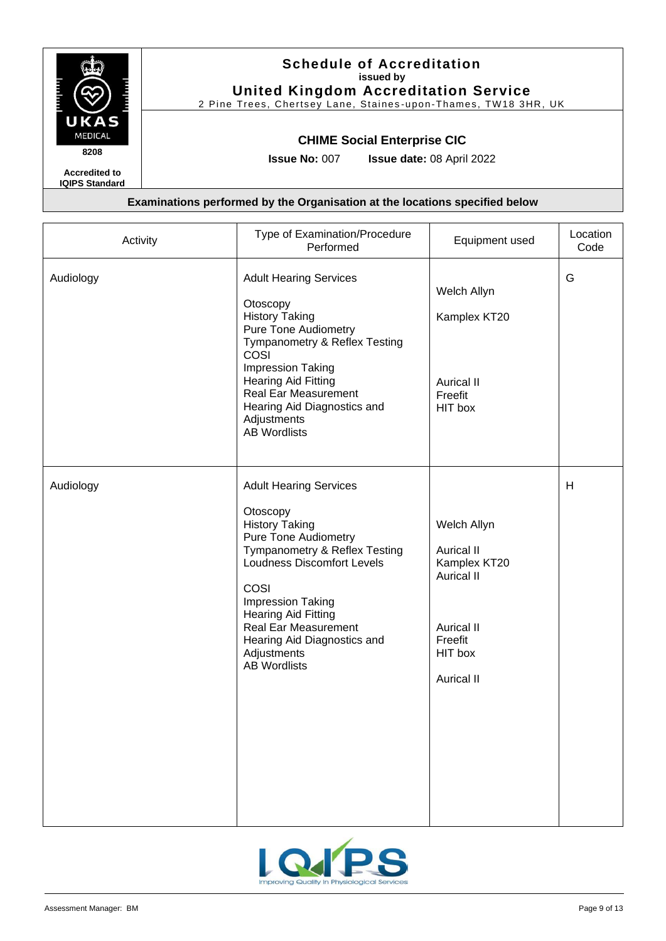

2 Pine Trees, Chertsey Lane, Staines -upon-Thames, TW18 3HR, UK

### **CHIME Social Enterprise CIC**

**Issue No:** 007 **Issue date:** 08 April 2022

**Accredited to IQIPS Standard**

| Activity  | Type of Examination/Procedure<br>Performed                                                                                                                                                                                                                                                                                             | Equipment used                                                                                                                 | Location<br>Code |
|-----------|----------------------------------------------------------------------------------------------------------------------------------------------------------------------------------------------------------------------------------------------------------------------------------------------------------------------------------------|--------------------------------------------------------------------------------------------------------------------------------|------------------|
| Audiology | <b>Adult Hearing Services</b><br>Otoscopy<br><b>History Taking</b><br><b>Pure Tone Audiometry</b><br>Tympanometry & Reflex Testing<br>COSI<br>Impression Taking<br><b>Hearing Aid Fitting</b><br><b>Real Ear Measurement</b><br>Hearing Aid Diagnostics and<br>Adjustments<br><b>AB Wordlists</b>                                      | Welch Allyn<br>Kamplex KT20<br><b>Aurical II</b><br>Freefit<br>HIT box                                                         | G                |
| Audiology | <b>Adult Hearing Services</b><br>Otoscopy<br><b>History Taking</b><br><b>Pure Tone Audiometry</b><br>Tympanometry & Reflex Testing<br><b>Loudness Discomfort Levels</b><br>COSI<br>Impression Taking<br><b>Hearing Aid Fitting</b><br><b>Real Ear Measurement</b><br>Hearing Aid Diagnostics and<br>Adjustments<br><b>AB Wordlists</b> | Welch Allyn<br>Aurical II<br>Kamplex KT20<br><b>Aurical II</b><br><b>Aurical II</b><br>Freefit<br>HIT box<br><b>Aurical II</b> | H                |

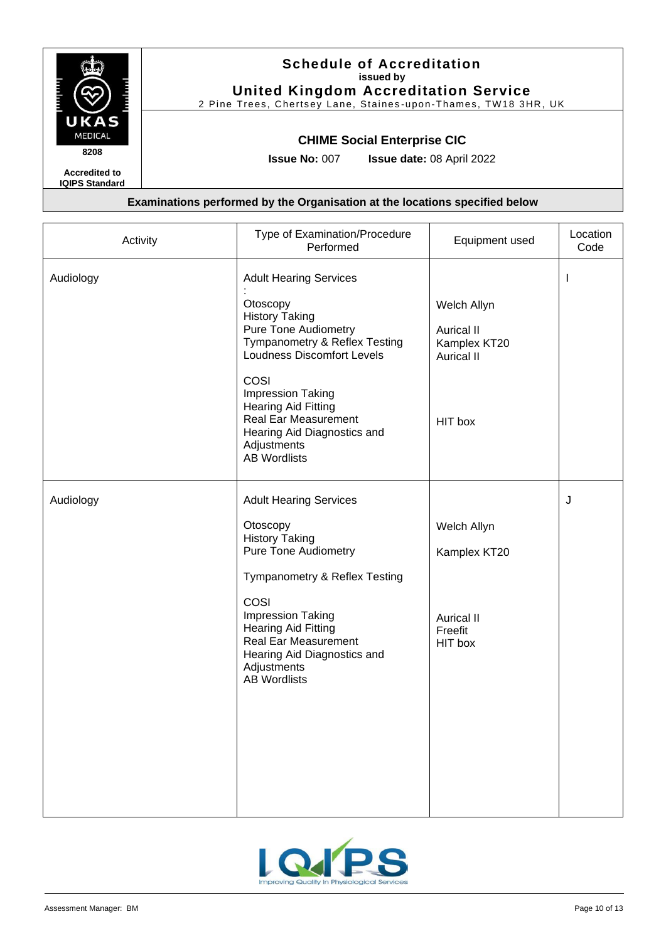

2 Pine Trees, Chertsey Lane, Staines -upon-Thames, TW18 3HR, UK

### **CHIME Social Enterprise CIC**

**Issue No:** 007 **Issue date:** 08 April 2022

**Accredited to IQIPS Standard**

| Activity  | Type of Examination/Procedure<br>Performed                                                                                                                                                                                                                                                                                      | Equipment used                                                                   | Location<br>Code |
|-----------|---------------------------------------------------------------------------------------------------------------------------------------------------------------------------------------------------------------------------------------------------------------------------------------------------------------------------------|----------------------------------------------------------------------------------|------------------|
| Audiology | <b>Adult Hearing Services</b><br>Otoscopy<br><b>History Taking</b><br>Pure Tone Audiometry<br>Tympanometry & Reflex Testing<br><b>Loudness Discomfort Levels</b><br>COSI<br>Impression Taking<br><b>Hearing Aid Fitting</b><br><b>Real Ear Measurement</b><br>Hearing Aid Diagnostics and<br>Adjustments<br><b>AB Wordlists</b> | Welch Allyn<br><b>Aurical II</b><br>Kamplex KT20<br><b>Aurical II</b><br>HIT box | $\mathbf{I}$     |
| Audiology | <b>Adult Hearing Services</b><br>Otoscopy<br><b>History Taking</b><br><b>Pure Tone Audiometry</b><br>Tympanometry & Reflex Testing<br>COSI<br>Impression Taking<br><b>Hearing Aid Fitting</b><br>Real Ear Measurement<br>Hearing Aid Diagnostics and<br>Adjustments<br><b>AB Wordlists</b>                                      | Welch Allyn<br>Kamplex KT20<br><b>Aurical II</b><br>Freefit<br>HIT box           | J                |

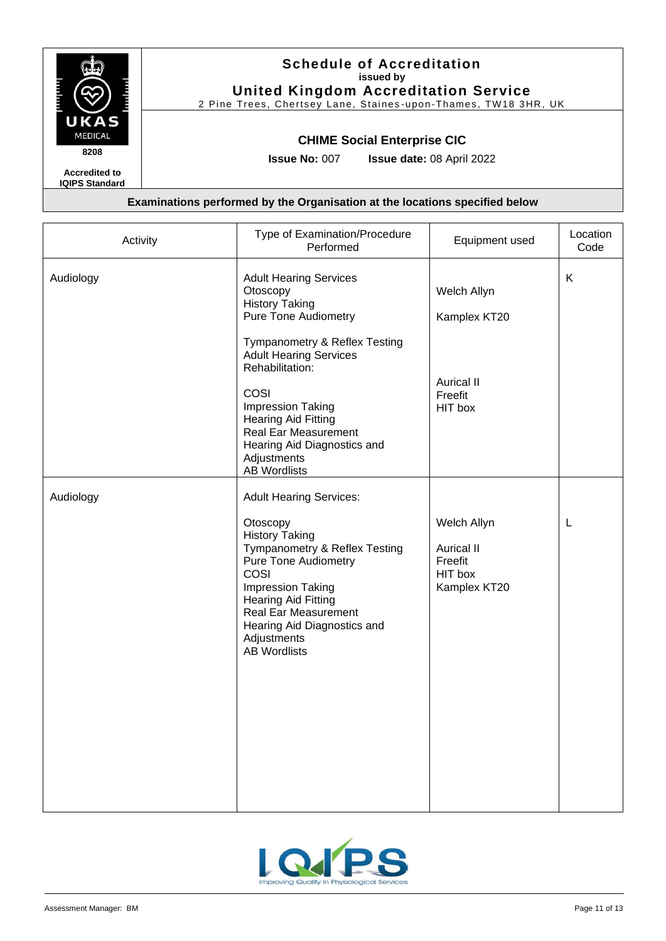

2 Pine Trees, Chertsey Lane, Staines -upon-Thames, TW18 3HR, UK

### **CHIME Social Enterprise CIC**

**Issue No:** 007 **Issue date:** 08 April 2022

**IQIPS Standard**

| Activity               | Type of Examination/Procedure<br>Performed                                                                                                                                                                                                                                                                                                                                                                                                                                                                                                                                                                                                                         | Equipment used                                                                                                                                   | Location<br>Code |
|------------------------|--------------------------------------------------------------------------------------------------------------------------------------------------------------------------------------------------------------------------------------------------------------------------------------------------------------------------------------------------------------------------------------------------------------------------------------------------------------------------------------------------------------------------------------------------------------------------------------------------------------------------------------------------------------------|--------------------------------------------------------------------------------------------------------------------------------------------------|------------------|
| Audiology<br>Audiology | <b>Adult Hearing Services</b><br>Otoscopy<br><b>History Taking</b><br><b>Pure Tone Audiometry</b><br>Tympanometry & Reflex Testing<br><b>Adult Hearing Services</b><br>Rehabilitation:<br>COSI<br><b>Impression Taking</b><br><b>Hearing Aid Fitting</b><br><b>Real Ear Measurement</b><br>Hearing Aid Diagnostics and<br>Adjustments<br><b>AB Wordlists</b><br><b>Adult Hearing Services:</b><br>Otoscopy<br><b>History Taking</b><br>Tympanometry & Reflex Testing<br><b>Pure Tone Audiometry</b><br>COSI<br>Impression Taking<br><b>Hearing Aid Fitting</b><br><b>Real Ear Measurement</b><br>Hearing Aid Diagnostics and<br>Adjustments<br><b>AB Wordlists</b> | Welch Allyn<br>Kamplex KT20<br><b>Aurical II</b><br>Freefit<br>HIT box<br>Welch Allyn<br><b>Aurical II</b><br>Freefit<br>HIT box<br>Kamplex KT20 | Κ<br>L           |
|                        |                                                                                                                                                                                                                                                                                                                                                                                                                                                                                                                                                                                                                                                                    |                                                                                                                                                  |                  |

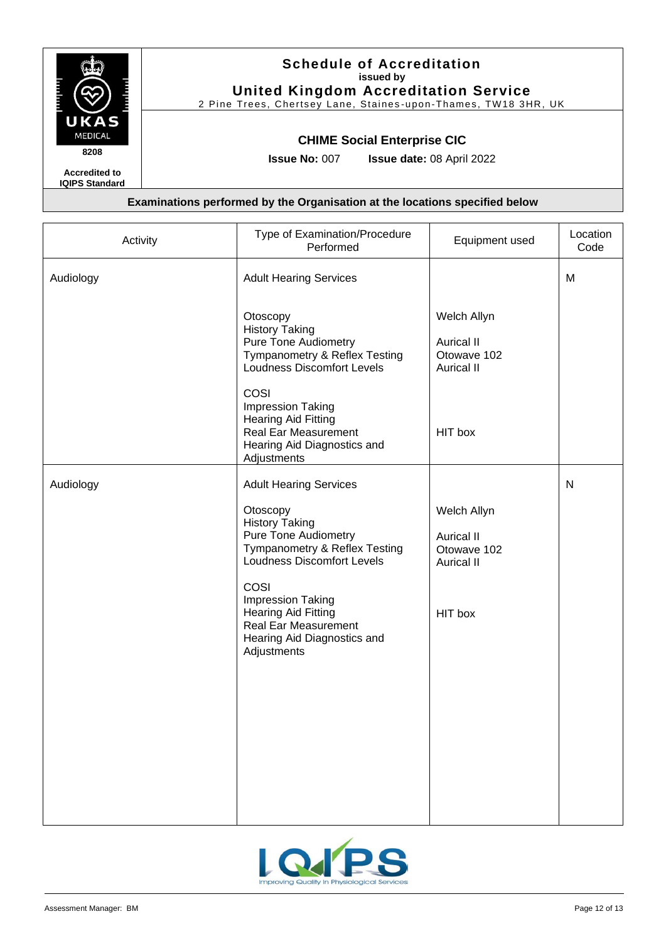

# **Schedule of Accreditation issued by United Kingdom Accreditation Service**

2 Pine Trees, Chertsey Lane, Staines -upon-Thames, TW18 3HR, UK

### **CHIME Social Enterprise CIC**

**Issue No:** 007 **Issue date:** 08 April 2022

| Activity  | Type of Examination/Procedure<br>Performed                                                                                                     | Equipment used                                                       | Location<br>Code |
|-----------|------------------------------------------------------------------------------------------------------------------------------------------------|----------------------------------------------------------------------|------------------|
| Audiology | <b>Adult Hearing Services</b>                                                                                                                  |                                                                      | M                |
|           | Otoscopy<br><b>History Taking</b><br><b>Pure Tone Audiometry</b><br>Tympanometry & Reflex Testing<br><b>Loudness Discomfort Levels</b><br>COSI | Welch Allyn<br><b>Aurical II</b><br>Otowave 102<br><b>Aurical II</b> |                  |
|           | Impression Taking<br><b>Hearing Aid Fitting</b><br><b>Real Ear Measurement</b><br>Hearing Aid Diagnostics and<br>Adjustments                   | HIT box                                                              |                  |
| Audiology | <b>Adult Hearing Services</b>                                                                                                                  |                                                                      | $\mathsf{N}$     |
|           | Otoscopy<br><b>History Taking</b><br><b>Pure Tone Audiometry</b><br>Tympanometry & Reflex Testing<br>Loudness Discomfort Levels                | Welch Allyn<br><b>Aurical II</b><br>Otowave 102<br><b>Aurical II</b> |                  |
|           | COSI<br>Impression Taking<br><b>Hearing Aid Fitting</b><br><b>Real Ear Measurement</b><br>Hearing Aid Diagnostics and<br>Adjustments           | HIT box                                                              |                  |
|           |                                                                                                                                                |                                                                      |                  |
|           |                                                                                                                                                |                                                                      |                  |
|           |                                                                                                                                                |                                                                      |                  |